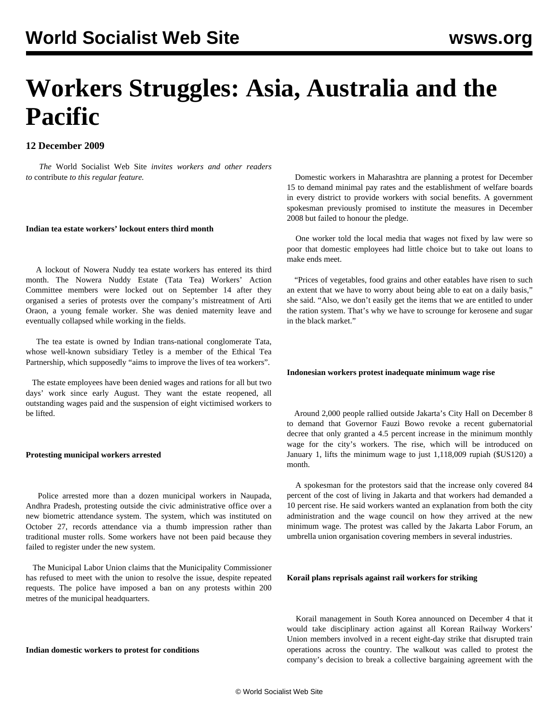# **Workers Struggles: Asia, Australia and the Pacific**

## **12 December 2009**

 *The* World Socialist Web Site *invites workers and other readers to* [contribute](/wsws/dd-formmailer/dd-formmailer.php) *to this regular feature.*

#### **Indian tea estate workers' lockout enters third month**

 A lockout of Nowera Nuddy tea estate workers has entered its third month. The Nowera Nuddy Estate (Tata Tea) Workers' Action Committee members were locked out on September 14 after they organised a series of protests over the company's mistreatment of Arti Oraon, a young female worker. She was denied maternity leave and eventually collapsed while working in the fields.

 The tea estate is owned by Indian trans-national conglomerate Tata, whose well-known subsidiary Tetley is a member of the Ethical Tea Partnership, which supposedly "aims to improve the lives of tea workers".

 The estate employees have been denied wages and rations for all but two days' work since early August. They want the estate reopened, all outstanding wages paid and the suspension of eight victimised workers to be lifted.

## **Protesting municipal workers arrested**

 Police arrested more than a dozen municipal workers in Naupada, Andhra Pradesh, protesting outside the civic administrative office over a new biometric attendance system. The system, which was instituted on October 27, records attendance via a thumb impression rather than traditional muster rolls. Some workers have not been paid because they failed to register under the new system.

 The Municipal Labor Union claims that the Municipality Commissioner has refused to meet with the union to resolve the issue, despite repeated requests. The police have imposed a ban on any protests within 200 metres of the municipal headquarters.

#### **Indian domestic workers to protest for conditions**

 Domestic workers in Maharashtra are planning a protest for December 15 to demand minimal pay rates and the establishment of welfare boards in every district to provide workers with social benefits. A government spokesman previously promised to institute the measures in December 2008 but failed to honour the pledge.

 One worker told the local media that wages not fixed by law were so poor that domestic employees had little choice but to take out loans to make ends meet.

 "Prices of vegetables, food grains and other eatables have risen to such an extent that we have to worry about being able to eat on a daily basis," she said. "Also, we don't easily get the items that we are entitled to under the ration system. That's why we have to scrounge for kerosene and sugar in the black market."

#### **Indonesian workers protest inadequate minimum wage rise**

 Around 2,000 people rallied outside Jakarta's City Hall on December 8 to demand that Governor Fauzi Bowo revoke a recent gubernatorial decree that only granted a 4.5 percent increase in the minimum monthly wage for the city's workers. The rise, which will be introduced on January 1, lifts the minimum wage to just 1,118,009 rupiah (\$US120) a month.

 A spokesman for the protestors said that the increase only covered 84 percent of the cost of living in Jakarta and that workers had demanded a 10 percent rise. He said workers wanted an explanation from both the city administration and the wage council on how they arrived at the new minimum wage. The protest was called by the Jakarta Labor Forum, an umbrella union organisation covering members in several industries.

### **Korail plans reprisals against rail workers for striking**

 Korail management in South Korea announced on December 4 that it would take disciplinary action against all Korean Railway Workers' Union members involved in a recent eight-day strike that disrupted train operations across the country. The walkout was called to protest the company's decision to break a collective bargaining agreement with the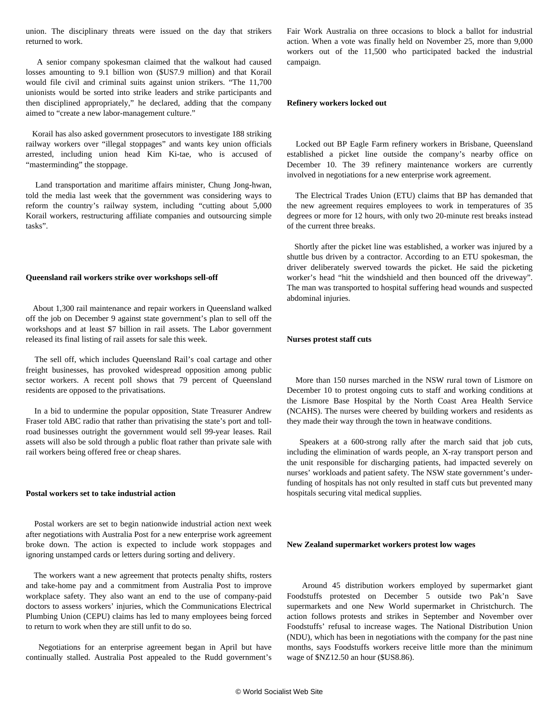union. The disciplinary threats were issued on the day that strikers returned to work.

 A senior company spokesman claimed that the walkout had caused losses amounting to 9.1 billion won (\$US7.9 million) and that Korail would file civil and criminal suits against union strikers. "The 11,700 unionists would be sorted into strike leaders and strike participants and then disciplined appropriately," he declared, adding that the company aimed to "create a new labor-management culture."

 Korail has also asked government prosecutors to investigate 188 striking railway workers over "illegal stoppages" and wants key union officials arrested, including union head Kim Ki-tae, who is accused of "masterminding" the stoppage.

 Land transportation and maritime affairs minister, Chung Jong-hwan, told the media last week that the government was considering ways to reform the country's railway system, including "cutting about 5,000 Korail workers, restructuring affiliate companies and outsourcing simple tasks".

#### **Queensland rail workers strike over workshops sell-off**

 About 1,300 rail maintenance and repair workers in Queensland walked off the job on December 9 against state government's plan to sell off the workshops and at least \$7 billion in rail assets. The Labor government released its final listing of rail assets for sale this week.

 The sell off, which includes Queensland Rail's coal cartage and other freight businesses, has provoked widespread opposition among public sector workers. A recent poll shows that 79 percent of Queensland residents are opposed to the privatisations.

 In a bid to undermine the popular opposition, State Treasurer Andrew Fraser told ABC radio that rather than privatising the state's port and tollroad businesses outright the government would sell 99-year leases. Rail assets will also be sold through a public float rather than private sale with rail workers being offered free or cheap shares.

#### **Postal workers set to take industrial action**

 Postal workers are set to begin nationwide industrial action next week after negotiations with Australia Post for a new enterprise work agreement broke down. The action is expected to include work stoppages and ignoring unstamped cards or letters during sorting and delivery.

 The workers want a new agreement that protects penalty shifts, rosters and take-home pay and a commitment from Australia Post to improve workplace safety. They also want an end to the use of company-paid doctors to assess workers' injuries, which the Communications Electrical Plumbing Union (CEPU) claims has led to many employees being forced to return to work when they are still unfit to do so.

 Negotiations for an enterprise agreement began in April but have continually stalled. Australia Post appealed to the Rudd government's

Fair Work Australia on three occasions to block a ballot for industrial action. When a vote was finally held on November 25, more than 9,000 workers out of the 11,500 who participated backed the industrial campaign.

#### **Refinery workers locked out**

 Locked out BP Eagle Farm refinery workers in Brisbane, Queensland established a picket line outside the company's nearby office on December 10. The 39 refinery maintenance workers are currently involved in negotiations for a new enterprise work agreement.

 The Electrical Trades Union (ETU) claims that BP has demanded that the new agreement requires employees to work in temperatures of 35 degrees or more for 12 hours, with only two 20-minute rest breaks instead of the current three breaks.

 Shortly after the picket line was established, a worker was injured by a shuttle bus driven by a contractor. According to an ETU spokesman, the driver deliberately swerved towards the picket. He said the picketing worker's head "hit the windshield and then bounced off the driveway". The man was transported to hospital suffering head wounds and suspected abdominal injuries.

## **Nurses protest staff cuts**

 More than 150 nurses marched in the NSW rural town of Lismore on December 10 to protest ongoing cuts to staff and working conditions at the Lismore Base Hospital by the North Coast Area Health Service (NCAHS). The nurses were cheered by building workers and residents as they made their way through the town in heatwave conditions.

 Speakers at a 600-strong rally after the march said that job cuts, including the elimination of wards people, an X-ray transport person and the unit responsible for discharging patients, had impacted severely on nurses' workloads and patient safety. The NSW state government's underfunding of hospitals has not only resulted in staff cuts but prevented many hospitals securing vital medical supplies.

#### **New Zealand supermarket workers protest low wages**

 Around 45 distribution workers employed by supermarket giant Foodstuffs protested on December 5 outside two Pak'n Save supermarkets and one New World supermarket in Christchurch. The action follows protests and strikes in September and November over Foodstuffs' refusal to increase wages. The National Distribution Union (NDU), which has been in negotiations with the company for the past nine months, says Foodstuffs workers receive little more than the minimum wage of \$NZ12.50 an hour (\$US8.86).